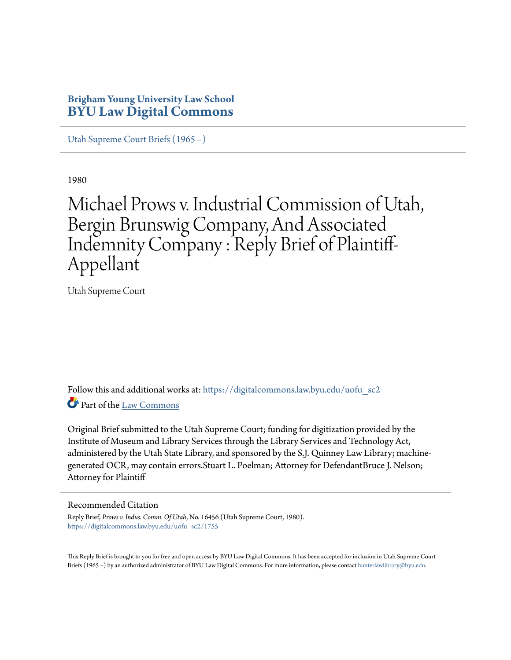# **Brigham Young University Law School [BYU Law Digital Commons](https://digitalcommons.law.byu.edu?utm_source=digitalcommons.law.byu.edu%2Fuofu_sc2%2F1755&utm_medium=PDF&utm_campaign=PDFCoverPages)**

[Utah Supreme Court Briefs \(1965 –\)](https://digitalcommons.law.byu.edu/uofu_sc2?utm_source=digitalcommons.law.byu.edu%2Fuofu_sc2%2F1755&utm_medium=PDF&utm_campaign=PDFCoverPages)

1980

# Michael Prows v. Industrial Commission of Utah, Bergin Brunswig Company, And Associated Indemnity Company : Reply Brief of Plaintiff-Appellant

Utah Supreme Court

Follow this and additional works at: [https://digitalcommons.law.byu.edu/uofu\\_sc2](https://digitalcommons.law.byu.edu/uofu_sc2?utm_source=digitalcommons.law.byu.edu%2Fuofu_sc2%2F1755&utm_medium=PDF&utm_campaign=PDFCoverPages) Part of the [Law Commons](http://network.bepress.com/hgg/discipline/578?utm_source=digitalcommons.law.byu.edu%2Fuofu_sc2%2F1755&utm_medium=PDF&utm_campaign=PDFCoverPages)

Original Brief submitted to the Utah Supreme Court; funding for digitization provided by the Institute of Museum and Library Services through the Library Services and Technology Act, administered by the Utah State Library, and sponsored by the S.J. Quinney Law Library; machinegenerated OCR, may contain errors.Stuart L. Poelman; Attorney for DefendantBruce J. Nelson; Attorney for Plaintiff

# Recommended Citation

Reply Brief, *Prows v. Indus. Comm. Of Utah*, No. 16456 (Utah Supreme Court, 1980). [https://digitalcommons.law.byu.edu/uofu\\_sc2/1755](https://digitalcommons.law.byu.edu/uofu_sc2/1755?utm_source=digitalcommons.law.byu.edu%2Fuofu_sc2%2F1755&utm_medium=PDF&utm_campaign=PDFCoverPages)

This Reply Brief is brought to you for free and open access by BYU Law Digital Commons. It has been accepted for inclusion in Utah Supreme Court Briefs (1965 –) by an authorized administrator of BYU Law Digital Commons. For more information, please contact [hunterlawlibrary@byu.edu.](mailto:hunterlawlibrary@byu.edu)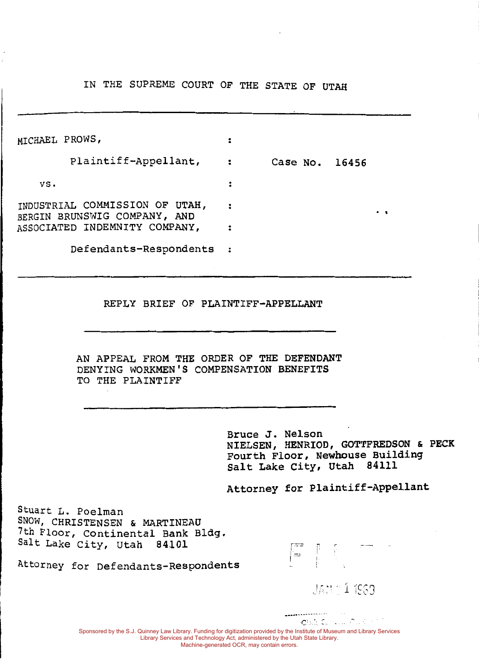IN THE SUPREME COURT OF THE STATE OF UTAH

| MICHAEL PROWS, |                                                                |                |   |  |
|----------------|----------------------------------------------------------------|----------------|---|--|
|                | Plaintiff-Appellant,                                           | Case No. 16456 |   |  |
| vs.            |                                                                |                |   |  |
|                | INDUSTRIAL COMMISSION OF UTAH,<br>BERGIN BRUNSWIG COMPANY, AND |                | ٠ |  |
|                | ASSOCIATED INDEMNITY COMPANY,                                  |                |   |  |
|                | Defendants-Respondents                                         |                |   |  |

#### REPLY BRIEF OF PLAINTIFF-APPELLANT

AN APPEAL FROM THE ORDER OF THE DEFENDANT DENYING WORKMEN'S COMPENSATION BENEFITS TO THE PLAINTIFF

> Bruce J. Nelson NIELSEN, HENRIOD, GOTTFREDSON & PECK Fourth Floor, Newhouse Building salt Lake City, Utah 84111

Attorney for Plaintiff-Appellant

|-<br>|-

Stuart L. Poelman SNOW, CHRISTENSEN & MARTINEAU 7th Floor, continental Bank Bldg. Salt Lake City, Utah 84101



JAN 11989

Sponsored by the S.J. Quinney Law Library. Funding for digitization provided by the Institute of Museum and Library Services Library Services and Technology Act, administered by the Utah State Library. Machine-generated OCR, may contain errors.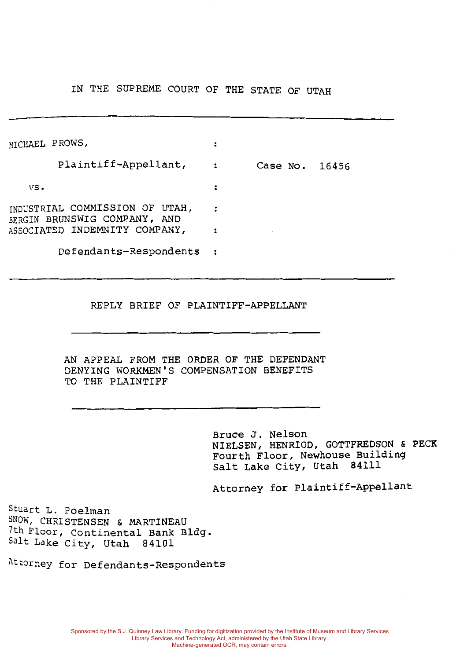IN THE SUPREME COURT OF THE STATE OF UTAH

| MICHAEL PROWS, |                                                                |                |  |
|----------------|----------------------------------------------------------------|----------------|--|
|                | Plaintiff-Appellant,                                           | Case No. 16456 |  |
| VS.            |                                                                |                |  |
|                | INDUSTRIAL COMMISSION OF UTAH,<br>BERGIN BRUNSWIG COMPANY, AND |                |  |
|                | ASSOCIATED INDEMNITY COMPANY,                                  |                |  |
|                | Defendants-Respondents                                         |                |  |

#### REPLY BRIEF OF PLAINTIFF-APPELLANT

AN APPEAL FROM THE ORDER OF THE DEFENDANT DENYING WORKMEN'S COMPENSATION BENEFITS TO THE PLAINTIFF

> Bruce J. Nelson NIELSEN, HENRIOD, GOTTFREDSON & PECK Fourth Floor, Newhouse Building Salt Lake City, Utah 84111

Attorney for Plaintiff-Appellant

Stuart L. Poelman SNOW, CHRISTENSEN & MARTINEAU 7th Floor, Continental Bank Bldg. Salt Lake City, Utah 84101

Attorney for Defendants-Respondents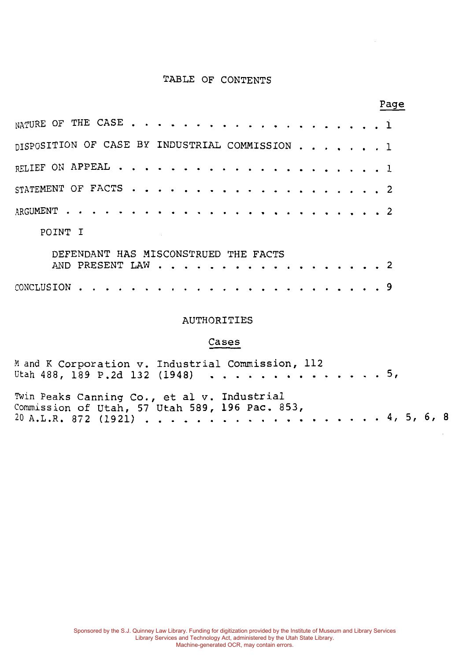# TABLE OF CONTENTS

 $P = \text{Area}$ 

|                                                |                                      |  |  |  |  |  |  |  |  |  |  |  | r age |
|------------------------------------------------|--------------------------------------|--|--|--|--|--|--|--|--|--|--|--|-------|
|                                                |                                      |  |  |  |  |  |  |  |  |  |  |  |       |
| DISPOSITION OF CASE BY INDUSTRIAL COMMISSION 1 |                                      |  |  |  |  |  |  |  |  |  |  |  |       |
|                                                |                                      |  |  |  |  |  |  |  |  |  |  |  |       |
|                                                |                                      |  |  |  |  |  |  |  |  |  |  |  |       |
|                                                |                                      |  |  |  |  |  |  |  |  |  |  |  |       |
| POINT I                                        |                                      |  |  |  |  |  |  |  |  |  |  |  |       |
|                                                | DEFENDANT HAS MISCONSTRUED THE FACTS |  |  |  |  |  |  |  |  |  |  |  |       |
|                                                | AND PRESENT LAW 2                    |  |  |  |  |  |  |  |  |  |  |  |       |
| CONCLUSION                                     |                                      |  |  |  |  |  |  |  |  |  |  |  |       |

#### AUTHORITIES

# Cases

| M and K Corporation v. Industrial Commission, 112<br>Utah 488, 189 P.2d 132 (1948) 5,         |  |  |  |  |
|-----------------------------------------------------------------------------------------------|--|--|--|--|
| Twin Peaks Canning Co., et al v. Industrial<br>Commission of Utah, 57 Utah 589, 196 Pac. 853, |  |  |  |  |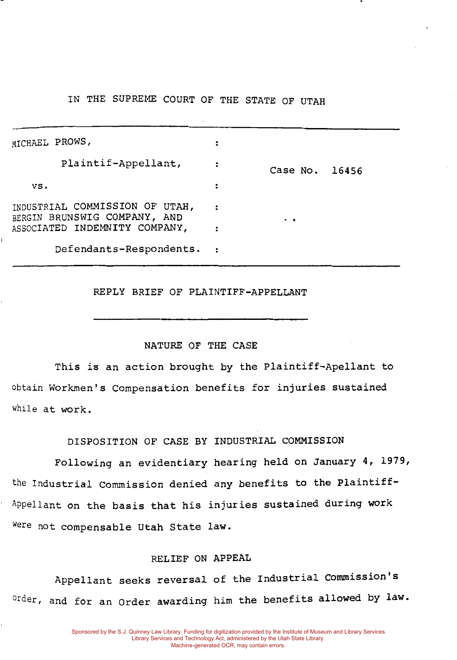# IN THE SUPREME COURT OF THE STATE OF UTAH

| MICHAEL PROWS,                                                 |                          |                |  |
|----------------------------------------------------------------|--------------------------|----------------|--|
| Plaintif-Appellant,                                            |                          | Case No. 16456 |  |
| VS.                                                            | ፡                        |                |  |
| INDUSTRIAL COMMISSION OF UTAH,<br>BERGIN BRUNSWIG COMPANY, AND |                          | . .            |  |
| ASSOCIATED INDEMNITY COMPANY,                                  |                          |                |  |
| Defendants-Respondents.                                        | $\overline{\phantom{a}}$ |                |  |

REPLY BRIEF OF PLAINTIFF-APPELLANT

#### NATURE OF THE CASE

This is an action brought by the Plaintiff-Apellant to obtain Workmen's Compensation benefits for injuries sustained while at work.

DISPOSITION OF CASE BY INDUSTRIAL COMMISSION

Following an evidentiary hearing held on January 4, 1979, the Industrial Commission denied any benefits to the Plaintiff-Appellant on the basis that his injuries sustained during work were not compensable Utah State law.

#### RELIEF ON APPEAL

Appellant seeks reversal of the Industrial commission's order, and for an Order awarding him the benefits allowed by law.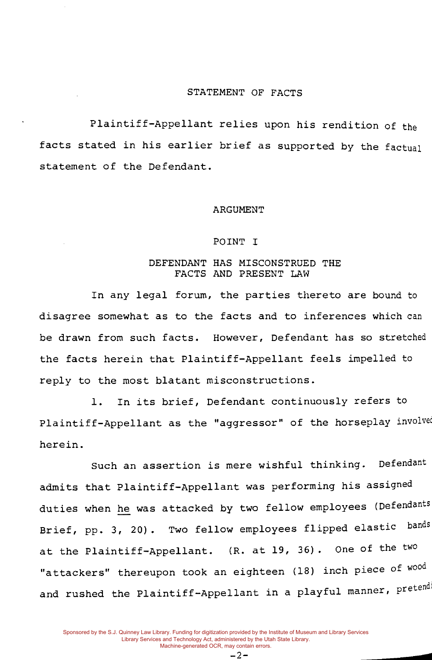#### STATEMENT OF FACTS

Plaintiff-Appellant relies upon his rendition of the facts stated in his earlier brief as supported by the factual statement of the Defendant.

#### ARGUMENT

#### POINT I

#### DEFENDANT HAS MISCONSTRUED THE FACTS AND PRESENT LAW

In any legal forum, the parties thereto are bound to disagree somewhat as to the facts and to inferences which can be drawn from such facts. However, Defendant has so stretched the facts herein that Plaintiff-Appellant feels impelled to reply to the most blatant misconstructions.

1. In its brief, Defendant continuously refers to Plaintiff-Appellant as the "aggressor" of the horseplay involved herein.

Such an assertion *is* mere wishful thinking. Defendant admits that Plaintiff-Appellant was performing his assigned duties when he was attacked by two fellow employees (Defendants Brief, pp. 3, 20). Two fellow employees flipped elastic bands at the Plaintiff-Appellant. (R. at 19, 36). One of the two "attackers" thereupon took an eighteen (18) inch piece of wood and rushed the Plaintiff-Appellant in a playful manner, pretend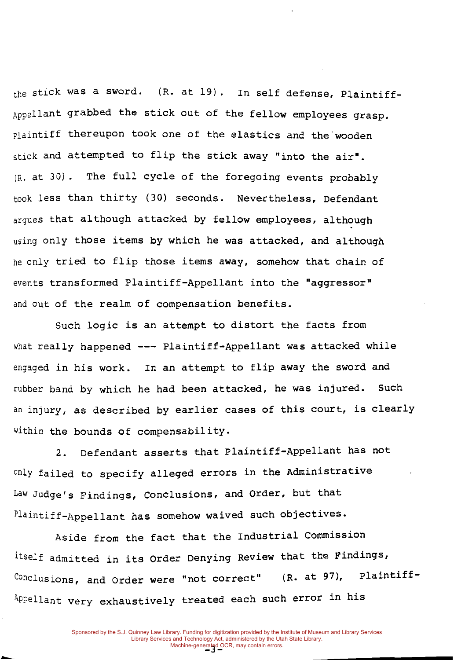the stick was a sword. (R. at 19). In self defense, Plaintiff-Appellant grabbed the stick out of the fellow employees grasp. plaintiff thereupon took one of the elastics and the wooden stick and attempted to flip the stick away "into the air". (R. at 30) . The full cycle of the foregoing events probably took less than thirty (30) seconds. Nevertheless, Defendant argues that although attacked by fellow employees, although using only those items by which he was attacked, and although he only tried to flip those items away, somehow that chain of events transformed Plaintiff-Appellant into the "aggressor" and out of the realm of compensation benefits.

Such logic is an attempt to distort the facts from what really happened  $---$  Plaintiff-Appellant was attacked while engaged in his work. In an attempt to flip away the sword and rubber band by which he had been attacked, he was injured. Such an injury, as described by earlier cases of this court, is clearly within the bounds of compensability.

2. Defendant asserts that Plaintiff-Appellant has not only failed to specify alleged errors in the Administrative Law Judge's Findings, conclusions, and Order, but that Plaintiff-Appellant has somehow waived such objectives.

Aside from the fact that the Industrial Commission itself admitted in its Order Denying Review that the Findings, Conclusions, and Order were "not correct" (R. at 97), Plaintiff-Appellant very exhaustively treated each such error in his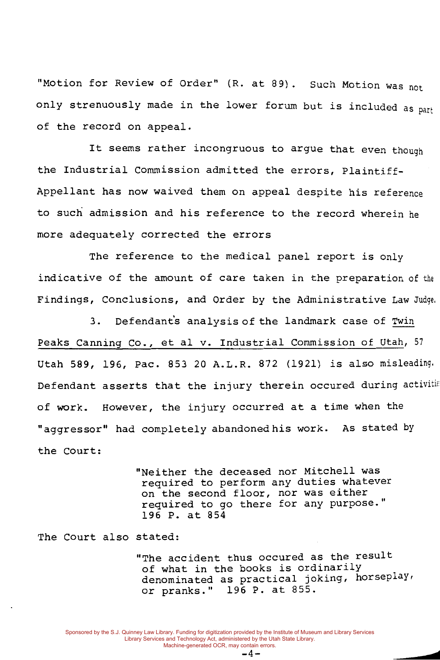"Motion for Review of Order" (R. at 89). Such Motion was not only strenuously made in the lower forum but is included as part of the record on appeal.

It seems rather incongruous to argue that even though the Industrial Commission admitted the errors, Plaintiff-Appellant has now waived them on appeal despite his reference to such admission and his reference to the record wherein he more adequately corrected the errors

The reference to the medical panel report is only indicative of the amount of care taken in the preparation of the Findings, Conclusions, and Order by the Administrative Law Judge,

3. Defendant's analysis of the landmark case of Twin Peaks Canning co., et al v. Industrial Commission of Utah, <sup>57</sup> Utah 589, 196, Pac. 853 20 A.L.R. 872 (1921) is also misleading. Defendant asserts that the injury therein occured during activitie of work. However, the injury occurred at a time when the "aggressor" had completely abandonedhis work. As stated by the court:

> "Neither the deceased nor Mitchell was required to perform any duties whatever on the second floor, nor was either required to go there for any purpose." 196 P. at 854

The court also stated:

"The accident thus occured as the result of what in the books is ordinarily denominated as practical joking, horseplay, or pranks." 196 P. at 855.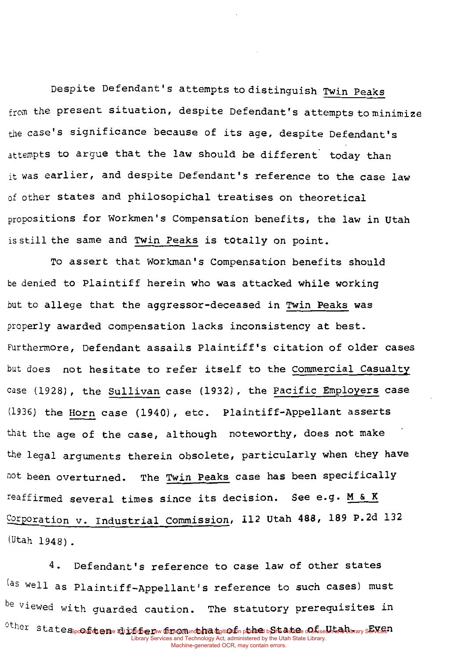Despite Defendant's attempts to distinguish Twin Peaks from the present situation, despite Defendant's attempts to minimize the case's significance because of its age, despite Defendant's attempts to argue that the law should be different, today than it was earlier, and despite Defendant's reference to the case law of other states and philosopichal treatises on theoretical propositions for Workmen's Compensation benefits, the law in Utah is still the same and Twin Peaks is totally on point.

To assert that Workman's Compensation benefits should be denied to Plaintiff herein who was attacked while working but to allege that the aggressor-deceased in Twin Peaks was properly awarded compensation lacks inconsistency at best. Furthermore, Defendant assails Plaintiff's citation of older cases but does not hesitate to refer itself to the Commercial Casualty case (1928), the Sullivan case (1932) , the Pacific Employers case (1936) the Horn case (1940), etc. Plaintiff-Appellant asserts that the age of the case, although noteworthy, does not make the legal arguments therein obsolete, particularly when they have not been overturned. The Twin Peaks case has been specifically reaffirmed several times since its decision. See e.g. M & K Corporation v. Industrial Commission, 112 Utah 488, 189 P.2d 132 (Utah 1948).

4. Defendant's reference to case law of other states (as well as Plaintiff-Appellant's reference to such cases) must  $b$ e viewed with quarded caution. The statutory prerequisites in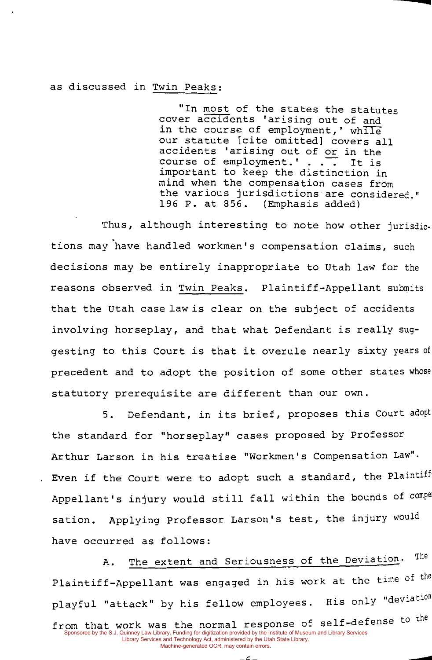#### as discussed in Twin Peaks:

"In most of the states the statutes cover accidents 'arising out of and in the course of employment,' while our statute [cite omitted) covers all accidents 'arising out of or in the<br>course of employment.'... It is course of employment.' .  $\overline{\cdot}$ important to keep the distinction in mind when the compensation cases from the various jurisdictions are considered." 196 P. at 856. (Emphasis added)

...

Thus, although interesting to note how other jurisdictions may have handled workmen's compensation claims, such decisions may be entirely inappropriate to Utah law for the reasons observed in Twin Peaks. Plaintiff-Appellant submits that the Utah case law is clear on the subject of accidents involving horseplay, and that what Defendant is really suggesting to this Court is that it overule nearly sixty years of precedent and to adopt the position of some other states whose statutory prerequisite are different than our own.

5. Defendant, in its brief, proposes this Court adopt the standard for "horseplay" cases proposed by Professor Arthur Larson in his treatise "Workmen's Compensation Law"· . Even if the Court were to adopt such a standard, the Plaintiff Appellant's injury would still fall within the bounds of compe sation. Applying Professor Larson's test, the injury would have occurred as follows:

A. The extent and Seriousness of the Deviation. The Plaintiff-Appellant was engaged in his work at the time of the playful "attack" by his fellow employees. His only "deviation from that work was the normal response of self-defense to the Sponsored by the S.J. Quinney Law Library. Funding for digitization provided by the Institute of Museum and Library Services<br>Library Services and Technology Act, administered by the Utah State Library.<br>Machine-generated OC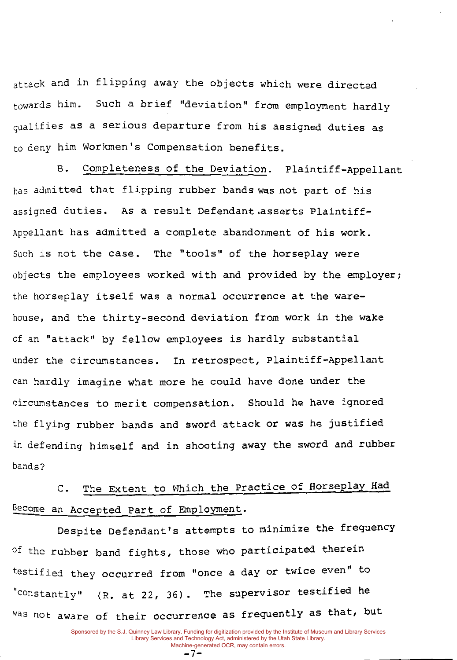attack and in flipping away the objects which were directed towards him. Such a brief "deviation" from employment hardly qualifies as a serious departure from his assigned duties as to deny him Workmen's Compensation benefits.

B. Completeness of the Deviation. Plaintiff-Appellant has admitted that flipping rubber bands was not part of his assigned duties. As a result Defendant.asserts Plaintiff-Appellant has admitted a complete abandonment of his work. Such is not the case. The "tools" of the horseplay were objects the employees worked with and provided by the employer; the horseplay itself was a normal occurrence at the warehouse, and the thirty-second deviation from work in the wake of an "attack" by fellow employees is hardly substantial under the circumstances. In retrospect, Plaintiff-Appellant can hardly imagine what more he could have done under the circumstances to merit compensation. Should he have ignored the flying rubber bands and sword attack or was he justified in defending himself and in shooting away the sword and rubber bands?

C. The Extent to Which the Practice of Horseplay Had Become an Accepted Part of Employment.

Despite Defendant's attempts to minimize the frequency of the rubber band fights, those who participated therein testified they occurred from "once a day or twice even" to "constantly" (R. at 22, 36). The supervisor testified he Was not aware of their occurrence as frequently as that, but

-7-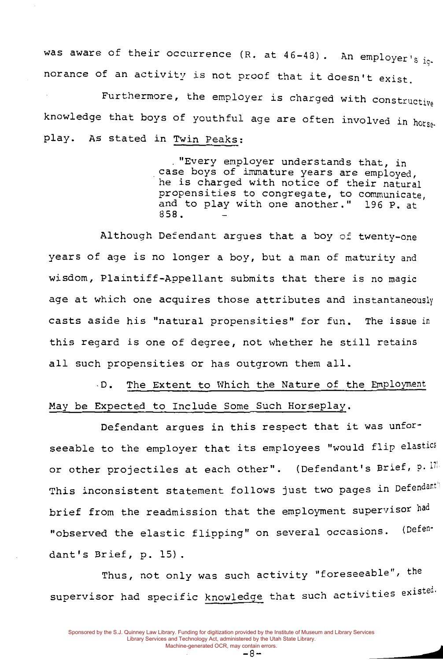was aware of their occurrence (R. at  $46-48$ ). An employer's ig. norance of an activity is not proof that it doesn't exist.

Furthermore, the employer is charged with constructive knowledge that boys of youthful age are often involved in horseplay. As stated in Twin Peaks:

> . "Every employer understands that, in case boys of immature years are employed, he is charged with notice of their natural propensities to congregate, to communicate, and to play with one another." 196 P. at 858.

Although Defendant argues that a boy of twenty-one years of age is no longer a boy, but a man of maturity and wisdom, Plaintiff-Appellant submits that there is no magic age at which one acquires those attributes and instantaneously casts aside his "natural propensities" for fun. The issue in this regard is one of degree, not whether he still retains **all** such propensities or has outgrown them all .

. D. The Extent to Which the Nature of the Employment May be Expected to Include Some Such Horseplay.

Defendant argues in this respect that it was unforseeable to the employer that its employees "would flip elastics or other projectiles at each other". (Defendant's Brief, p. 11. This inconsistent statement follows just two pages in Defendant<sup>1</sup> brief from the readmission that the employment supervisor had "observed the elastic flipping" on several occasions. (Defendant's Brief, p. 15).

Thus, not only was such activity "foreseeable", the supervisor had specific knowledge that such activities existed.